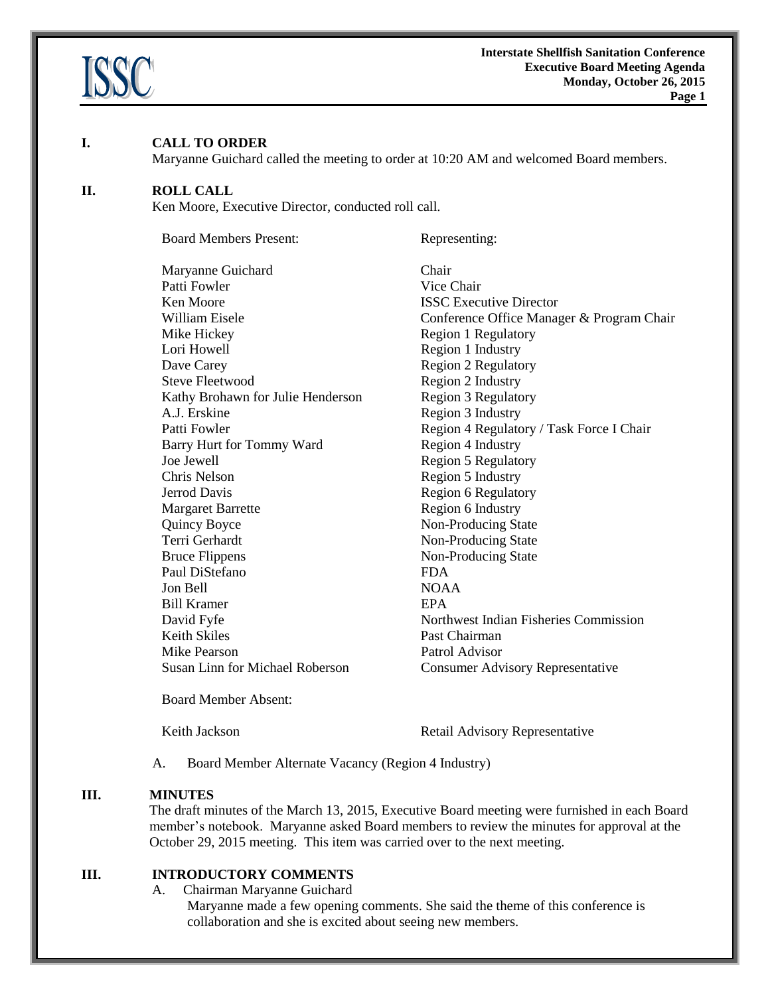

#### **I. CALL TO ORDER**

Maryanne Guichard called the meeting to order at 10:20 AM and welcomed Board members.

#### **II. ROLL CALL**

Ken Moore, Executive Director, conducted roll call.

Board Members Present: Representing: Maryanne Guichard Chair Patti Fowler Vice Chair **Ken Moore ISSC Executive Director** William Eisele **Conference Office Manager & Program Chair** Mike Hickey Region 1 Regulatory Lori Howell Region 1 Industry Dave Carey **Region 2 Region 2 Regulatory** Steve Fleetwood Region 2 Industry Kathy Brohawn for Julie Henderson<br>Region 3 Regulatory A.J. Erskine Region 3 Industry Patti Fowler **Region 4 Regulatory / Task Force I Chair** Barry Hurt for Tommy Ward Region 4 Industry Joe Jewell Region 5 Regulatory Chris Nelson Region 5 Industry Jerrod Davis Region 6 Regulatory Margaret Barrette Region 6 Industry Quincy Boyce Non-Producing State Terri Gerhardt Non-Producing State Bruce Flippens Non-Producing State Paul DiStefano FDA Jon Bell NOAA Bill Kramer **EPA** David Fyfe **Northwest** Indian Fisheries Commission Keith Skiles **Past Chairman** Mike Pearson Patrol Advisor Susan Linn for Michael Roberson Consumer Advisory Representative

Board Member Absent:

Keith Jackson Retail Advisory Representative

A. Board Member Alternate Vacancy (Region 4 Industry)

## **III. MINUTES**

The draft minutes of the March 13, 2015, Executive Board meeting were furnished in each Board member's notebook. Maryanne asked Board members to review the minutes for approval at the October 29, 2015 meeting. This item was carried over to the next meeting.

# **III. INTRODUCTORY COMMENTS**

A. Chairman Maryanne Guichard

Maryanne made a few opening comments. She said the theme of this conference is collaboration and she is excited about seeing new members.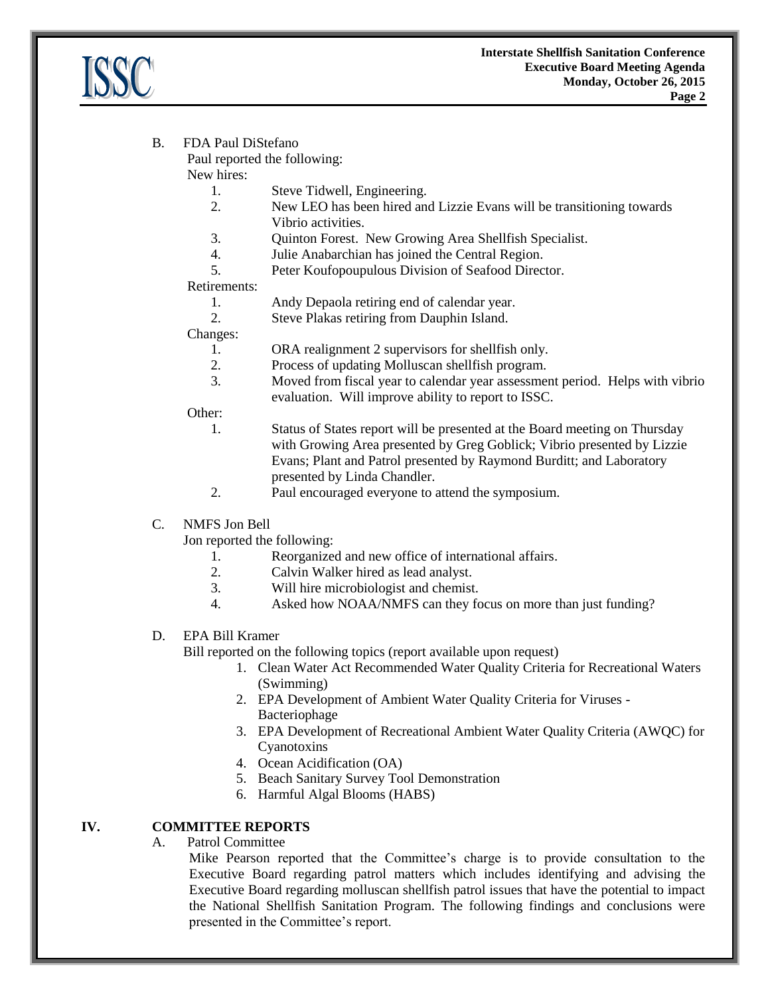

## B. FDA Paul DiStefano

Paul reported the following:

New hires:

- 1. Steve Tidwell, Engineering.
- 2. New LEO has been hired and Lizzie Evans will be transitioning towards Vibrio activities.
- 3. Quinton Forest. New Growing Area Shellfish Specialist.
- 4. Julie Anabarchian has joined the Central Region.
- 5. Peter Koufopoupulous Division of Seafood Director.

#### Retirements:

1. Andy Depaola retiring end of calendar year.

2. Steve Plakas retiring from Dauphin Island.

Changes:

- 1. ORA realignment 2 supervisors for shellfish only.
- 2. Process of updating Molluscan shellfish program.
- 3. Moved from fiscal year to calendar year assessment period. Helps with vibrio evaluation. Will improve ability to report to ISSC.

Other:

- 1. Status of States report will be presented at the Board meeting on Thursday with Growing Area presented by Greg Goblick; Vibrio presented by Lizzie Evans; Plant and Patrol presented by Raymond Burditt; and Laboratory presented by Linda Chandler.
- 2. Paul encouraged everyone to attend the symposium.

## C. NMFS Jon Bell

Jon reported the following:

- 1. Reorganized and new office of international affairs.
- 2. Calvin Walker hired as lead analyst.
- 3. Will hire microbiologist and chemist.
- 4. Asked how NOAA/NMFS can they focus on more than just funding?

## D. EPA Bill Kramer

Bill reported on the following topics (report available upon request)

- 1. Clean Water Act Recommended Water Quality Criteria for Recreational Waters (Swimming)
- 2. EPA Development of Ambient Water Quality Criteria for Viruses Bacteriophage
- 3. EPA Development of Recreational Ambient Water Quality Criteria (AWQC) for Cyanotoxins
- 4. Ocean Acidification (OA)
- 5. Beach Sanitary Survey Tool Demonstration
- 6. Harmful Algal Blooms (HABS)

#### **IV. COMMITTEE REPORTS**

A. Patrol Committee

Mike Pearson reported that the Committee's charge is to provide consultation to the Executive Board regarding patrol matters which includes identifying and advising the Executive Board regarding molluscan shellfish patrol issues that have the potential to impact the National Shellfish Sanitation Program. The following findings and conclusions were presented in the Committee's report.

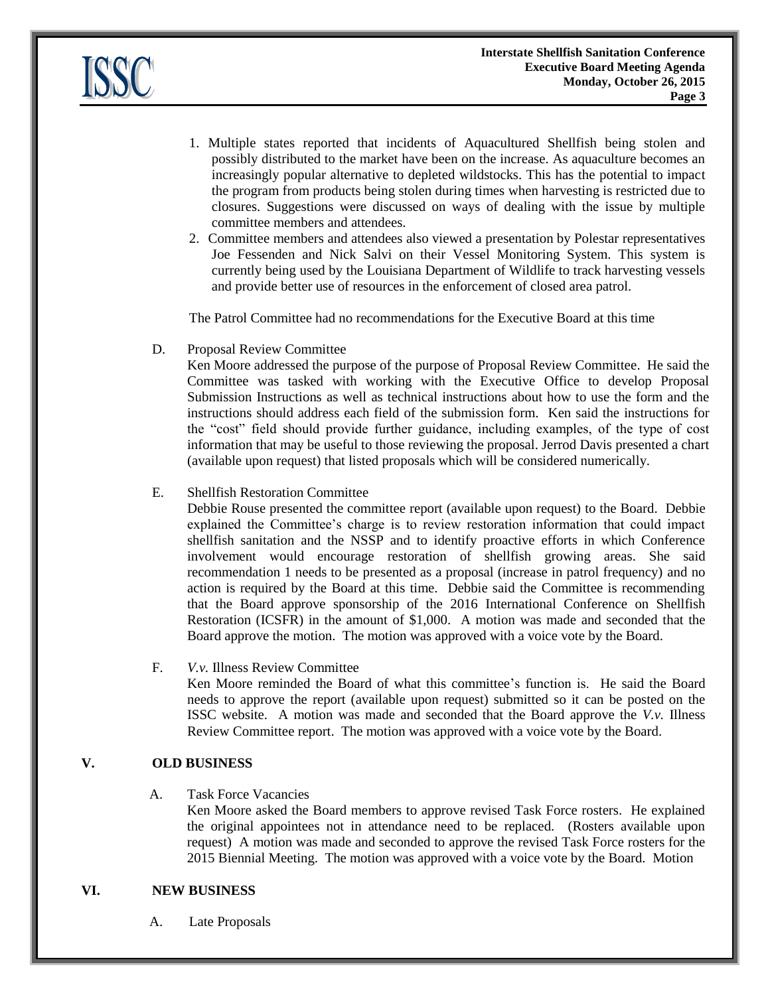

- 1. Multiple states reported that incidents of Aquacultured Shellfish being stolen and possibly distributed to the market have been on the increase. As aquaculture becomes an increasingly popular alternative to depleted wildstocks. This has the potential to impact the program from products being stolen during times when harvesting is restricted due to closures. Suggestions were discussed on ways of dealing with the issue by multiple committee members and attendees.
- 2. Committee members and attendees also viewed a presentation by Polestar representatives Joe Fessenden and Nick Salvi on their Vessel Monitoring System. This system is currently being used by the Louisiana Department of Wildlife to track harvesting vessels and provide better use of resources in the enforcement of closed area patrol.

The Patrol Committee had no recommendations for the Executive Board at this time

D. Proposal Review Committee

Ken Moore addressed the purpose of the purpose of Proposal Review Committee. He said the Committee was tasked with working with the Executive Office to develop Proposal Submission Instructions as well as technical instructions about how to use the form and the instructions should address each field of the submission form. Ken said the instructions for the "cost" field should provide further guidance, including examples, of the type of cost information that may be useful to those reviewing the proposal. Jerrod Davis presented a chart (available upon request) that listed proposals which will be considered numerically.

# E. Shellfish Restoration Committee

Debbie Rouse presented the committee report (available upon request) to the Board. Debbie explained the Committee's charge is to review restoration information that could impact shellfish sanitation and the NSSP and to identify proactive efforts in which Conference involvement would encourage restoration of shellfish growing areas. She said recommendation 1 needs to be presented as a proposal (increase in patrol frequency) and no action is required by the Board at this time. Debbie said the Committee is recommending that the Board approve sponsorship of the 2016 International Conference on Shellfish Restoration (ICSFR) in the amount of \$1,000. A motion was made and seconded that the Board approve the motion. The motion was approved with a voice vote by the Board.

#### F. *V.v.* Illness Review Committee

Ken Moore reminded the Board of what this committee's function is. He said the Board needs to approve the report (available upon request) submitted so it can be posted on the ISSC website. A motion was made and seconded that the Board approve the *V.v.* Illness Review Committee report. The motion was approved with a voice vote by the Board.

# **V. OLD BUSINESS**

A. Task Force Vacancies

Ken Moore asked the Board members to approve revised Task Force rosters. He explained the original appointees not in attendance need to be replaced. (Rosters available upon request) A motion was made and seconded to approve the revised Task Force rosters for the 2015 Biennial Meeting. The motion was approved with a voice vote by the Board. Motion

#### **VI. NEW BUSINESS**

A. Late Proposals